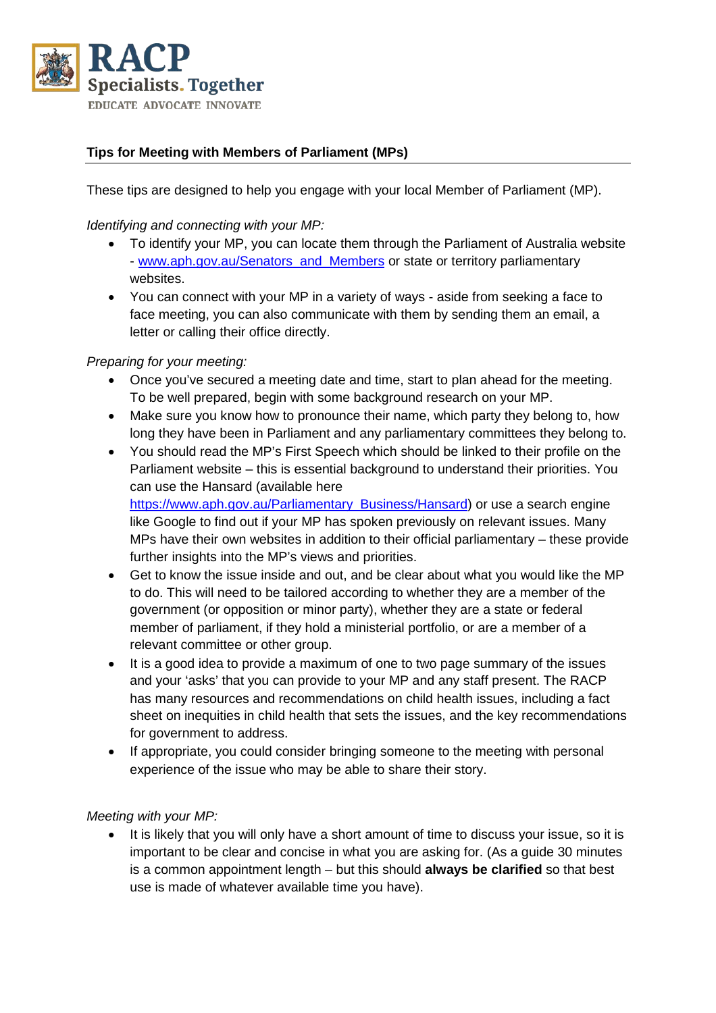

# **Tips for Meeting with Members of Parliament (MPs)**

These tips are designed to help you engage with your local Member of Parliament (MP).

#### *Identifying and connecting with your MP:*

- To identify your MP, you can locate them through the Parliament of Australia website - [www.aph.gov.au/Senators\\_and\\_Members](http://www.aph.gov.au/Senators_and_Members) or state or territory parliamentary websites.
- You can connect with your MP in a variety of ways aside from seeking a face to face meeting, you can also communicate with them by sending them an email, a letter or calling their office directly.

### *Preparing for your meeting:*

- Once you've secured a meeting date and time, start to plan ahead for the meeting. To be well prepared, begin with some background research on your MP.
- Make sure you know how to pronounce their name, which party they belong to, how long they have been in Parliament and any parliamentary committees they belong to.
- You should read the MP's First Speech which should be linked to their profile on the Parliament website – this is essential background to understand their priorities. You can use the Hansard (available here [https://www.aph.gov.au/Parliamentary\\_Business/Hansard\)](https://www.aph.gov.au/Parliamentary_Business/Hansard) or use a search engine like Google to find out if your MP has spoken previously on relevant issues. Many MPs have their own websites in addition to their official parliamentary – these provide further insights into the MP's views and priorities.
- Get to know the issue inside and out, and be clear about what you would like the MP to do. This will need to be tailored according to whether they are a member of the government (or opposition or minor party), whether they are a state or federal member of parliament, if they hold a ministerial portfolio, or are a member of a relevant committee or other group.
- It is a good idea to provide a maximum of one to two page summary of the issues and your 'asks' that you can provide to your MP and any staff present. The RACP has many resources and recommendations on child health issues, including a fact sheet on inequities in child health that sets the issues, and the key recommendations for government to address.
- If appropriate, you could consider bringing someone to the meeting with personal experience of the issue who may be able to share their story.

#### *Meeting with your MP:*

• It is likely that you will only have a short amount of time to discuss your issue, so it is important to be clear and concise in what you are asking for. (As a guide 30 minutes is a common appointment length – but this should **always be clarified** so that best use is made of whatever available time you have).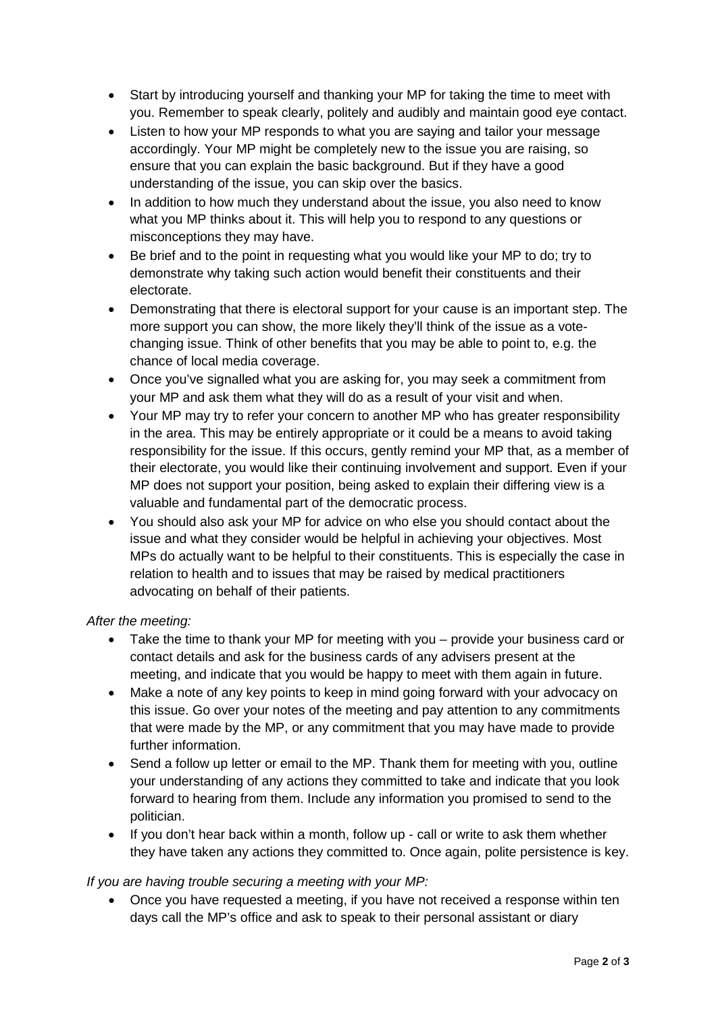- Start by introducing yourself and thanking your MP for taking the time to meet with you. Remember to speak clearly, politely and audibly and maintain good eye contact.
- Listen to how your MP responds to what you are saying and tailor your message accordingly. Your MP might be completely new to the issue you are raising, so ensure that you can explain the basic background. But if they have a good understanding of the issue, you can skip over the basics.
- In addition to how much they understand about the issue, you also need to know what you MP thinks about it. This will help you to respond to any questions or misconceptions they may have.
- Be brief and to the point in requesting what you would like your MP to do; try to demonstrate why taking such action would benefit their constituents and their electorate.
- Demonstrating that there is electoral support for your cause is an important step. The more support you can show, the more likely they'll think of the issue as a votechanging issue. Think of other benefits that you may be able to point to, e.g. the chance of local media coverage.
- Once you've signalled what you are asking for, you may seek a commitment from your MP and ask them what they will do as a result of your visit and when.
- Your MP may try to refer your concern to another MP who has greater responsibility in the area. This may be entirely appropriate or it could be a means to avoid taking responsibility for the issue. If this occurs, gently remind your MP that, as a member of their electorate, you would like their continuing involvement and support. Even if your MP does not support your position, being asked to explain their differing view is a valuable and fundamental part of the democratic process.
- You should also ask your MP for advice on who else you should contact about the issue and what they consider would be helpful in achieving your objectives. Most MPs do actually want to be helpful to their constituents. This is especially the case in relation to health and to issues that may be raised by medical practitioners advocating on behalf of their patients.

## *After the meeting:*

- Take the time to thank your MP for meeting with you provide your business card or contact details and ask for the business cards of any advisers present at the meeting, and indicate that you would be happy to meet with them again in future.
- Make a note of any key points to keep in mind going forward with your advocacy on this issue. Go over your notes of the meeting and pay attention to any commitments that were made by the MP, or any commitment that you may have made to provide further information.
- Send a follow up letter or email to the MP. Thank them for meeting with you, outline your understanding of any actions they committed to take and indicate that you look forward to hearing from them. Include any information you promised to send to the politician.
- If you don't hear back within a month, follow up call or write to ask them whether they have taken any actions they committed to. Once again, polite persistence is key.

## *If you are having trouble securing a meeting with your MP:*

• Once you have requested a meeting, if you have not received a response within ten days call the MP's office and ask to speak to their personal assistant or diary